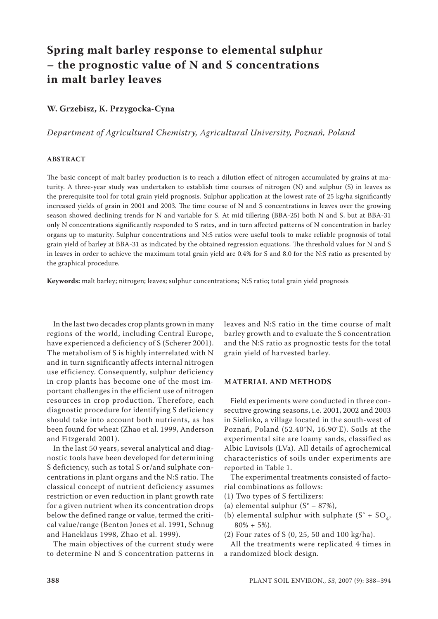# **Spring malt barley response to elemental sulphur – the prognostic value of N and S concentrations in malt barley leaves**

## **W. Grzebisz, K. Przygocka-Cyna**

*Department of Agricultural Chemistry, Agricultural University, Poznań, Poland*

## **ABSTRACT**

The basic concept of malt barley production is to reach a dilution effect of nitrogen accumulated by grains at maturity. A three-year study was undertaken to establish time courses of nitrogen (N) and sulphur (S) in leaves as the prerequisite tool for total grain yield prognosis. Sulphur application at the lowest rate of 25 kg/ha significantly increased yields of grain in 2001 and 2003. The time course of N and S concentrations in leaves over the growing season showed declining trends for N and variable for S. At mid tillering (BBA-25) both N and S, but at BBA-31 only N concentrations significantly responded to S rates, and in turn affected patterns of N concentration in barley organs up to maturity. Sulphur concentrations and N:S ratios were useful tools to make reliable prognosis of total grain yield of barley at BBA-31 as indicated by the obtained regression equations. The threshold values for N and S in leaves in order to achieve the maximum total grain yield are 0.4% for S and 8.0 for the N:S ratio as presented by the graphical procedure.

**Keywords:** malt barley; nitrogen; leaves; sulphur concentrations; N:S ratio; total grain yield prognosis

In the last two decades crop plants grown in many regions of the world, including Central Europe, have experienced a deficiency of S (Scherer 2001). The metabolism of S is highly interrelated with N and in turn significantly affects internal nitrogen use efficiency. Consequently, sulphur deficiency in crop plants has become one of the most important challenges in the efficient use of nitrogen resources in crop production. Therefore, each diagnostic procedure for identifying S deficiency should take into account both nutrients, as has been found for wheat (Zhao et al. 1999, Anderson and Fitzgerald 2001).

In the last 50 years, several analytical and diagnostic tools have been developed for determining S deficiency, such as total S or/and sulphate concentrations in plant organs and the N:S ratio. The classical concept of nutrient deficiency assumes restriction or even reduction in plant growth rate for a given nutrient when its concentration drops below the defined range or value, termed the critical value/range (Benton Jones et al. 1991, Schnug and Haneklaus 1998, Zhao et al. 1999).

The main objectives of the current study were to determine N and S concentration patterns in leaves and N:S ratio in the time course of malt barley growth and to evaluate the S concentration and the N:S ratio as prognostic tests for the total grain yield of harvested barley.

### **MATERIAL AND METHODS**

Field experiments were conducted in three consecutive growing seasons, i.e. 2001, 2002 and 2003 in Sielinko, a village located in the south-west of Poznań, Poland (52.40°N, 16.90°E). Soils at the experimental site are loamy sands, classified as Albic Luvisols (LVa). All details of agrochemical characteristics of soils under experiments are reported in Table 1.

The experimental treatments consisted of factorial combinations as follows:

- (1) Two types of S fertilizers:
- (a) elemental sulphur  $(S<sup>o</sup> 87%)$ ,
- (b) elemental sulphur with sulphate  $(S^{\circ} + SO_{4},$  $80\% + 5\%).$
- (2) Four rates of S (0, 25, 50 and 100 kg/ha).

All the treatments were replicated 4 times in a randomized block design.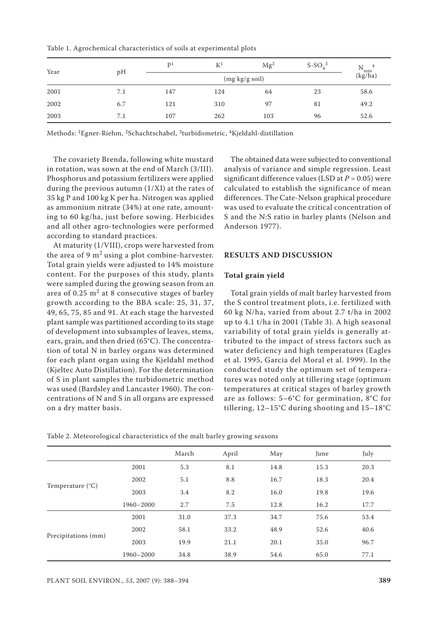Table 1. Agrochemical characteristics of soils at experimental plots

| Year | pH  | $\mathbf{D}^1$ | $\mathbb{K}^1$ | Mg <sup>2</sup> | $S-SO43$ | N<br>4<br>`min |
|------|-----|----------------|----------------|-----------------|----------|----------------|
|      |     |                | (kg/ha)        |                 |          |                |
| 2001 | 7.1 | 147            | 124            | 64              | 23       | 58.6           |
| 2002 | 6.7 | 121            | 310            | 97              | 81       | 49.2           |
| 2003 | 7.1 | 107            | 262            | 103             | 96       | 52.6           |

Methods: 1Egner-Riehm, 2Schachtschabel, 3turbidometric, 4Kjeldahl-distillation

The covariety Brenda, following white mustard in rotation, was sown at the end of March (3/III). Phosphorus and potassium fertilizers were applied during the previous autumn (1/XI) at the rates of 35 kg P and 100 kg K per ha. Nitrogen was applied as ammonium nitrate (34%) at one rate, amounting to 60 kg/ha, just before sowing. Herbicides and all other agro-technologies were performed according to standard practices.

At maturity (1/VIII), crops were harvested from the area of 9  $m<sup>2</sup>$  using a plot combine-harvester. Total grain yields were adjusted to 14% moisture content. For the purposes of this study, plants were sampled during the growing season from an area of 0.25  $m<sup>2</sup>$  at 8 consecutive stages of barley growth according to the BBA scale: 25, 31, 37, 49, 65, 75, 85 and 91. At each stage the harvested plant sample was partitioned according to its stage of development into subsamples of leaves, stems, ears, grain, and then dried (65°C). The concentration of total N in barley organs was determined for each plant organ using the Kjeldahl method (Kjeltec Auto Distillation). For the determination of S in plant samples the turbidometric method was used (Bardsley and Lancaster 1960). The concentrations of N and S in all organs are expressed on a dry matter basis.

The obtained data were subjected to conventional analysis of variance and simple regression. Least significant difference values (LSD at  $P = 0.05$ ) were calculated to establish the significance of mean differences. The Cate-Nelson graphical procedure was used to evaluate the critical concentration of S and the N:S ratio in barley plants (Nelson and Anderson 1977).

### **RESULTS AND DISCUSSION**

#### **Total grain yield**

Total grain yields of malt barley harvested from the S control treatment plots, i.e. fertilized with 60 kg N/ha, varied from about 2.7 t/ha in 2002 up to 4.1 t/ha in 2001 (Table 3). A high seasonal variability of total grain yields is generally attributed to the impact of stress factors such as water deficiency and high temperatures (Eagles et al. 1995, Garcia del Moral et al. 1999). In the conducted study the optimum set of temperatures was noted only at tillering stage (optimum temperatures at critical stages of barley growth are as follows: 5–6°C for germination, 8°C for tillering, 12–15°C during shooting and 15–18°C

|                           |           | March | April | May  | June | July |
|---------------------------|-----------|-------|-------|------|------|------|
|                           | 2001      | 5.3   | 8.1   | 14.8 | 15.3 | 20.3 |
|                           | 2002      | 5.1   | 8.8   | 16.7 | 18.3 | 20.4 |
| Temperature $(^{\circ}C)$ | 2003      | 3.4   | 8.2   | 16.0 | 19.8 | 19.6 |
|                           | 1960-2000 | 2.7   | 7.5   | 12.8 | 16.2 | 17.7 |
|                           | 2001      | 31.0  | 37.3  | 34.7 | 75.6 | 53.4 |
|                           | 2002      | 58.1  | 33.2  | 48.9 | 52.6 | 40.6 |
| Precipitations (mm)       | 2003      | 19.9  | 21.1  | 20.1 | 35.0 | 96.7 |
|                           | 1960-2000 | 34.8  | 38.9  | 54.6 | 65.0 | 77.1 |

Table 2. Meteorological characteristics of the malt barley growing seasons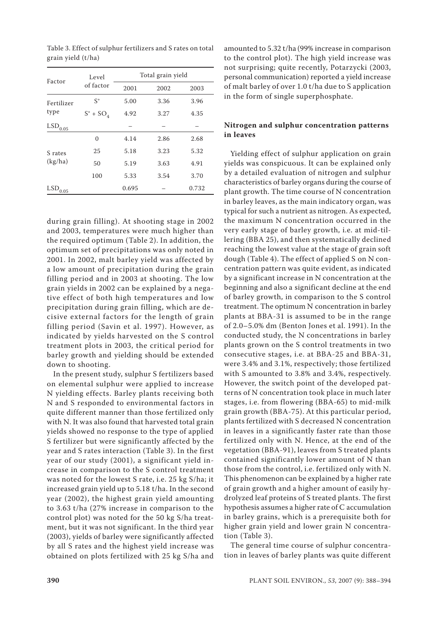| Factor                | Level                | Total grain yield |      |       |  |  |  |
|-----------------------|----------------------|-------------------|------|-------|--|--|--|
|                       | of factor            | 2001              | 2002 | 2003  |  |  |  |
| Fertilizer            | $S^{\circ}$          | 5.00              | 3.36 | 3.96  |  |  |  |
| type                  | $S^{\circ}$ + $SO_4$ | 4.92              | 3.27 | 4.35  |  |  |  |
| $\mathrm{LSD}_{0.05}$ |                      |                   |      |       |  |  |  |
|                       | $\Omega$             | 4.14              | 2.86 | 2.68  |  |  |  |
| S rates               | 25                   | 5.18              | 3.23 | 5.32  |  |  |  |
| (kg/ha)               | 50                   | 5.19              | 3.63 | 4.91  |  |  |  |
|                       | 100                  | 5.33              | 3.54 | 3.70  |  |  |  |
| $LSD_{0.05}$          |                      | 0.695             |      | 0.732 |  |  |  |

Table 3. Effect of sulphur fertilizers and S rates on total grain yield (t/ha)

during grain filling). At shooting stage in 2002 and 2003, temperatures were much higher than the required optimum (Table 2). In addition, the optimum set of precipitations was only noted in 2001. In 2002, malt barley yield was affected by a low amount of precipitation during the grain filling period and in 2003 at shooting. The low grain yields in 2002 can be explained by a negative effect of both high temperatures and low precipitation during grain filling, which are decisive external factors for the length of grain filling period (Savin et al. 1997). However, as indicated by yields harvested on the S control treatment plots in 2003, the critical period for barley growth and yielding should be extended down to shooting.

In the present study, sulphur S fertilizers based on elemental sulphur were applied to increase N yielding effects. Barley plants receiving both N and S responded to environmental factors in quite different manner than those fertilized only with N. It was also found that harvested total grain yields showed no response to the type of applied S fertilizer but were significantly affected by the year and S rates interaction (Table 3). In the first year of our study (2001), a significant yield increase in comparison to the S control treatment was noted for the lowest S rate, i.e. 25 kg S/ha; it increased grain yield up to 5.18 t/ha. In the second year (2002), the highest grain yield amounting to 3.63 t/ha (27% increase in comparison to the control plot) was noted for the 50 kg S/ha treatment, but it was not significant. In the third year (2003), yields of barley were significantly affected by all S rates and the highest yield increase was obtained on plots fertilized with 25 kg S/ha and

amounted to 5.32 t/ha (99% increase in comparison to the control plot). The high yield increase was not surprising; quite recently, Potarzycki (2003, personal communication) reported a yield increase of malt barley of over 1.0 t/ha due to S application in the form of single superphosphate.

## **Nitrogen and sulphur concentration patterns in leaves**

Yielding effect of sulphur application on grain yields was conspicuous. It can be explained only by a detailed evaluation of nitrogen and sulphur characteristics of barley organs during the course of plant growth. The time course of N concentration in barley leaves, as the main indicatory organ, was typical for such a nutrient as nitrogen. As expected, the maximum N concentration occurred in the very early stage of barley growth, i.e. at mid-tillering (BBA 25), and then systematically declined reaching the lowest value at the stage of grain soft dough (Table 4). The effect of applied S on N concentration pattern was quite evident, as indicated by a significant increase in N concentration at the beginning and also a significant decline at the end of barley growth, in comparison to the S control treatment. The optimum N concentration in barley plants at BBA-31 is assumed to be in the range of 2.0–5.0% dm (Benton Jones et al. 1991). In the conducted study, the N concentrations in barley plants grown on the S control treatments in two consecutive stages, i.e. at BBA-25 and BBA-31, were 3.4% and 3.1%, respectively; those fertilized with S amounted to 3.8% and 3.4%, respectively. However, the switch point of the developed patterns of N concentration took place in much later stages, i.e. from flowering (BBA-65) to mid-milk grain growth (BBA-75). At this particular period, plants fertilized with S decreased N concentration in leaves in a significantly faster rate than those fertilized only with N. Hence, at the end of the vegetation (BBA-91), leaves from S treated plants contained significantly lower amount of N than those from the control, i.e. fertilized only with N. This phenomenon can be explained by a higher rate of grain growth and a higher amount of easily hydrolyzed leaf proteins of S treated plants. The first hypothesis assumes a higher rate of C accumulation in barley grains, which is a prerequisite both for higher grain yield and lower grain N concentration (Table 3).

The general time course of sulphur concentration in leaves of barley plants was quite different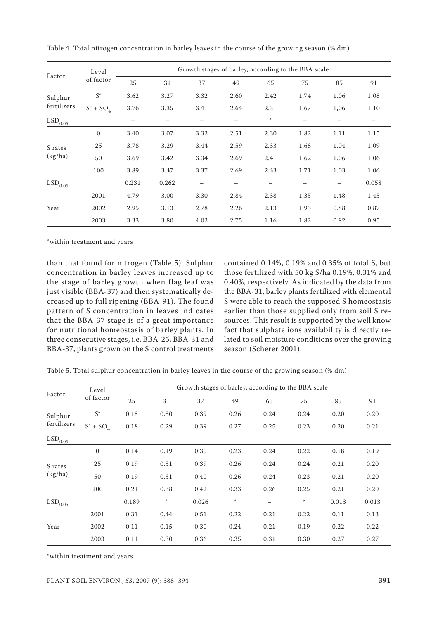| Factor                 | Level<br>of factor   | Growth stages of barley, according to the BBA scale |                          |      |      |               |      |      |       |
|------------------------|----------------------|-----------------------------------------------------|--------------------------|------|------|---------------|------|------|-------|
|                        |                      | 25                                                  | 31                       | 37   | 49   | 65            | 75   | 85   | 91    |
| Sulphur<br>fertilizers | $S^{\circ}$          | 3.62                                                | 3.27                     | 3.32 | 2.60 | 2.42          | 1.74 | 1.06 | 1.08  |
|                        | $S^{\circ}$ + $SO_4$ | 3.76                                                | 3.35                     | 3.41 | 2.64 | 2.31          | 1.67 | 1,06 | 1.10  |
| $\mathrm{LSD}_{0.05}$  |                      | -                                                   | $\overline{\phantom{m}}$ |      | —    | $\frac{1}{4}$ |      | —    |       |
| S rates<br>(kg/ha)     | $\mathbf{0}$         | 3.40                                                | 3.07                     | 3.32 | 2.51 | 2.30          | 1.82 | 1.11 | 1.15  |
|                        | 25                   | 3.78                                                | 3.29                     | 3.44 | 2.59 | 2.33          | 1.68 | 1.04 | 1.09  |
|                        | 50                   | 3.69                                                | 3.42                     | 3.34 | 2.69 | 2.41          | 1.62 | 1.06 | 1.06  |
|                        | 100                  | 3.89                                                | 3.47                     | 3.37 | 2.69 | 2.43          | 1.71 | 1.03 | 1.06  |
| $LSD_{0.05}$           |                      | 0.231                                               | 0.262                    |      |      |               |      |      | 0.058 |
| Year                   | 2001                 | 4.79                                                | 3.00                     | 3.30 | 2.84 | 2.38          | 1.35 | 1.48 | 1.45  |
|                        | 2002                 | 2.95                                                | 3.13                     | 2.78 | 2.26 | 2.13          | 1.95 | 0.88 | 0.87  |
|                        | 2003                 | 3.33                                                | 3.80                     | 4.02 | 2.75 | 1.16          | 1.82 | 0.82 | 0.95  |

Table 4. Total nitrogen concentration in barley leaves in the course of the growing season (% dm)

\*within treatment and years

than that found for nitrogen (Table 5). Sulphur concentration in barley leaves increased up to the stage of barley growth when flag leaf was just visible (BBA-37) and then systematically decreased up to full ripening (BBA-91). The found pattern of S concentration in leaves indicates that the BBA-37 stage is of a great importance for nutritional homeostasis of barley plants. In three consecutive stages, i.e. BBA-25, BBA-31 and BBA-37, plants grown on the S control treatments contained 0.14%, 0.19% and 0.35% of total S, but those fertilized with 50 kg S/ha 0.19%, 0.31% and 0.40%, respectively. As indicated by the data from the BBA-31, barley plants fertilized with elemental S were able to reach the supposed S homeostasis earlier than those supplied only from soil S resources. This result is supported by the well know fact that sulphate ions availability is directly related to soil moisture conditions over the growing season (Scherer 2001).

Table 5. Total sulphur concentration in barley leaves in the course of the growing season (% dm)

| Factor                 | Level<br>of factor   | Growth stages of barley, according to the BBA scale |      |       |      |      |      |       |       |
|------------------------|----------------------|-----------------------------------------------------|------|-------|------|------|------|-------|-------|
|                        |                      | 25                                                  | 31   | 37    | 49   | 65   | 75   | 85    | 91    |
| Sulphur<br>fertilizers | $S^{\circ}$          | 0.18                                                | 0.30 | 0.39  | 0.26 | 0.24 | 0.24 | 0.20  | 0.20  |
|                        | $S^{\circ}$ + $SO_4$ | 0.18                                                | 0.29 | 0.39  | 0.27 | 0.25 | 0.23 | 0.20  | 0.21  |
| $\mathrm{LSD}_{0.05}$  |                      |                                                     |      | —     |      |      |      |       | —     |
| S rates<br>(kg/ha)     | $\mathbf{0}$         | 0.14                                                | 0.19 | 0.35  | 0.23 | 0.24 | 0.22 | 0.18  | 0.19  |
|                        | 25                   | 0.19                                                | 0.31 | 0.39  | 0.26 | 0.24 | 0.24 | 0.21  | 0.20  |
|                        | 50                   | 0.19                                                | 0.31 | 0.40  | 0.26 | 0.24 | 0.23 | 0.21  | 0.20  |
|                        | 100                  | 0.21                                                | 0.38 | 0.42  | 0.33 | 0.26 | 0.25 | 0.21  | 0.20  |
| $\mathrm{LSD}_{0.05}$  |                      | 0.189                                               | *    | 0.026 | 崇    |      | *    | 0.013 | 0.013 |
| Year                   | 2001                 | 0.31                                                | 0.44 | 0.51  | 0.22 | 0.21 | 0.22 | 0.11  | 0.13  |
|                        | 2002                 | 0.11                                                | 0.15 | 0.30  | 0.24 | 0.21 | 0.19 | 0.22  | 0.22  |
|                        | 2003                 | 0.11                                                | 0.30 | 0.36  | 0.35 | 0.31 | 0.30 | 0.27  | 0.27  |

\*within treatment and years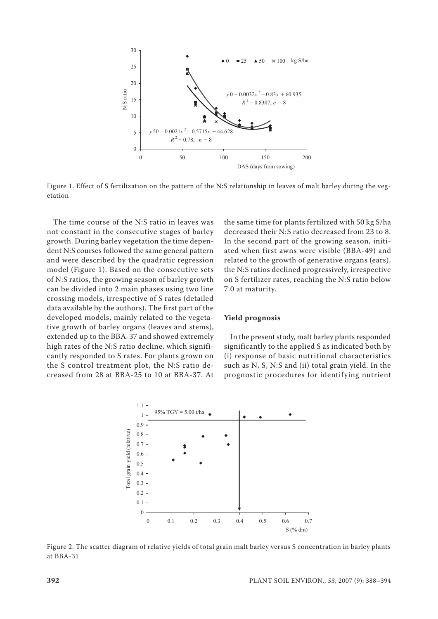

Figure 1. Effect of S fertilization on the pattern of the N:S relationship in leaves of malt barley during the vegetation

The time course of the N:S ratio in leaves was not constant in the consecutive stages of barley growth. During barley vegetation the time dependent N:S courses followed the same general pattern and were described by the quadratic regression model (Figure 1). Based on the consecutive sets of N:S ratios, the growing season of barley growth can be divided into 2 main phases using two line crossing models, irrespective of S rates (detailed data available by the authors). The first part of the developed models, mainly related to the vegetative growth of barley organs (leaves and stems), extended up to the BBA-37 and showed extremely high rates of the N:S ratio decline, which significantly responded to S rates. For plants grown on the S control treatment plot, the N:S ratio decreased from 28 at BBA-25 to 10 at BBA-37. At the same time for plants fertilized with 50 kg S/ha decreased their N:S ratio decreased from 23 to 8. In the second part of the growing season, initiated when first awns were visible (BBA-49) and related to the growth of generative organs (ears), the N:S ratios declined progressively, irrespective on S fertilizer rates, reaching the N:S ratio below 7.0 at maturity.

## **Yield prognosis**

In the present study, malt barley plants responded significantly to the applied S as indicated both by (i) response of basic nutritional characteristics such as N, S, N:S and (ii) total grain yield. In the prognostic procedures for identifying nutrient



Figure 2. The scatter diagram of relative yields of total grain malt barley versus S concentration in barley plants at BBA-31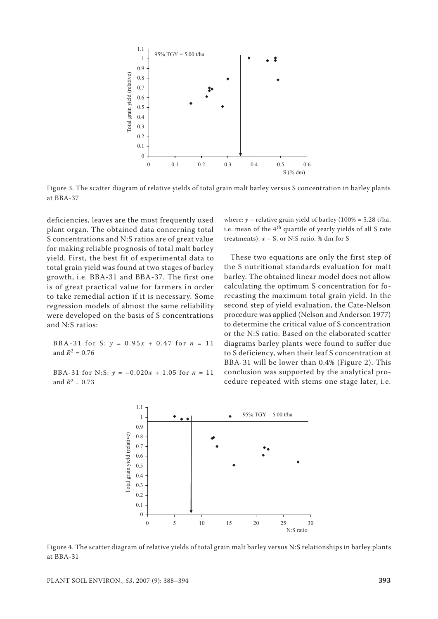

Figure 3. The scatter diagram of relative yields of total grain malt barley versus S concentration in barley plants at BBA-37

deficiencies, leaves are the most frequently used plant organ. The obtained data concerning total S concentrations and N:S ratios are of great value for making reliable prognosis of total malt barley yield. First, the best fit of experimental data to total grain yield was found at two stages of barley growth, i.e. BBA-31 and BBA-37. The first one is of great practical value for farmers in order to take remedial action if it is necessary. Some regression models of almost the same reliability were developed on the basis of S concentrations and N:S ratios:

BBA-31 for S:  $y = 0.95x + 0.47$  for  $n = 11$ and  $R^2 = 0.76$ 

BBA-31 for N:S:  $\gamma = -0.020x + 1.05$  for  $n = 11$ and  $R^2 = 0.73$ 

where: *y* – relative grain yield of barley (100% = 5.28 t/ha, i.e. mean of the  $4<sup>th</sup>$  quartile of yearly yields of all S rate treatments),  $x - S$ , or N:S ratio, % dm for S

These two equations are only the first step of the S nutritional standards evaluation for malt barley. The obtained linear model does not allow calculating the optimum S concentration for forecasting the maximum total grain yield. In the second step of yield evaluation, the Cate-Nelson procedure was applied (Nelson and Anderson 1977) to determine the critical value of S concentration or the N:S ratio. Based on the elaborated scatter diagrams barley plants were found to suffer due to S deficiency, when their leaf S concentration at BBA-31 will be lower than 0.4% (Figure 2). This conclusion was supported by the analytical procedure repeated with stems one stage later, i.e.



Figure 4. The scatter diagram of relative yields of total grain malt barley versus N:S relationships in barley plants at BBA-31